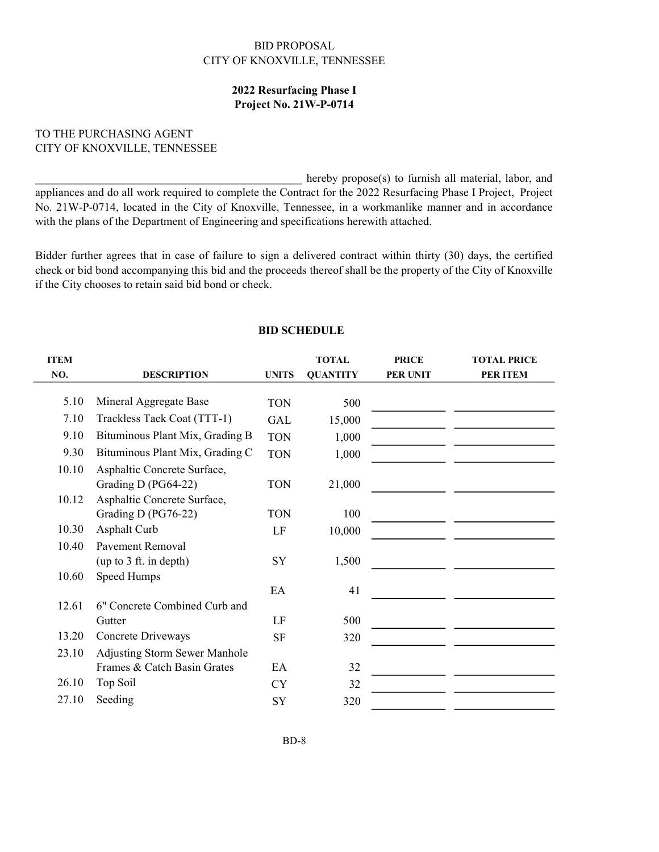## BID PROPOSAL CITY OF KNOXVILLE, TENNESSEE

## Project No. 21W-P-0714 2022 Resurfacing Phase I

## TO THE PURCHASING AGENT CITY OF KNOXVILLE, TENNESSEE

hereby propose(s) to furnish all material, labor, and appliances and do all work required to complete the Contract for the 2022 Resurfacing Phase I Project, Project No. 21W-P-0714, located in the City of Knoxville, Tennessee, in a workmanlike manner and in accordance with the plans of the Department of Engineering and specifications herewith attached.

Bidder further agrees that in case of failure to sign a delivered contract within thirty (30) days, the certified check or bid bond accompanying this bid and the proceeds thereof shall be the property of the City of Knoxville if the City chooses to retain said bid bond or check.

## BID SCHEDULE

| <b>ITEM</b> |                                      |              | <b>TOTAL</b>    | <b>PRICE</b>    | <b>TOTAL PRICE</b> |
|-------------|--------------------------------------|--------------|-----------------|-----------------|--------------------|
| NO.         | <b>DESCRIPTION</b>                   | <b>UNITS</b> | <b>QUANTITY</b> | <b>PER UNIT</b> | <b>PER ITEM</b>    |
|             |                                      |              |                 |                 |                    |
| 5.10        | Mineral Aggregate Base               | <b>TON</b>   | 500             |                 |                    |
| 7.10        | Trackless Tack Coat (TTT-1)          | <b>GAL</b>   | 15,000          |                 |                    |
| 9.10        | Bituminous Plant Mix, Grading B      | <b>TON</b>   | 1,000           |                 |                    |
| 9.30        | Bituminous Plant Mix, Grading C      | <b>TON</b>   | 1,000           |                 |                    |
| 10.10       | Asphaltic Concrete Surface,          |              |                 |                 |                    |
|             | Grading D (PG64-22)                  | <b>TON</b>   | 21,000          |                 |                    |
| 10.12       | Asphaltic Concrete Surface,          |              |                 |                 |                    |
|             | Grading D (PG76-22)                  | <b>TON</b>   | 100             |                 |                    |
| 10.30       | Asphalt Curb                         | LF           | 10,000          |                 |                    |
| 10.40       | Pavement Removal                     |              |                 |                 |                    |
|             | (up to 3 ft. in depth)               | SY           | 1,500           |                 |                    |
| 10.60       | Speed Humps                          |              |                 |                 |                    |
|             |                                      | EA           | 41              |                 |                    |
| 12.61       | 6" Concrete Combined Curb and        |              |                 |                 |                    |
|             | Gutter                               | LF           | 500             |                 |                    |
| 13.20       | Concrete Driveways                   | <b>SF</b>    | 320             |                 |                    |
| 23.10       | <b>Adjusting Storm Sewer Manhole</b> |              |                 |                 |                    |
|             | Frames & Catch Basin Grates          | EA           | 32              |                 |                    |
| 26.10       | Top Soil                             | <b>CY</b>    | 32              |                 |                    |
| 27.10       | Seeding                              | SY           | 320             |                 |                    |